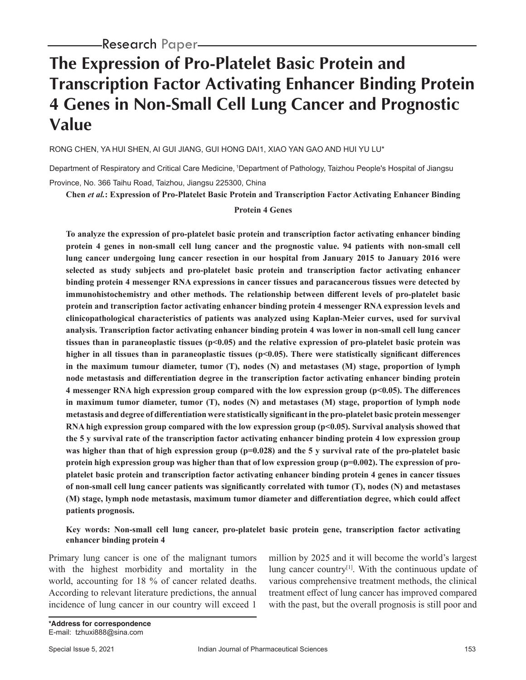# **The Expression of Pro-Platelet Basic Protein and Transcription Factor Activating Enhancer Binding Protein 4 Genes in Non-Small Cell Lung Cancer and Prognostic Value**

RONG CHEN, YA HUI SHEN, AI GUI JIANG, GUI HONG DAI1, XIAO YAN GAO AND HUI YU LU\*

Department of Respiratory and Critical Care Medicine, 1Department of Pathology, Taizhou People's Hospital of Jiangsu Province, No. 366 Taihu Road, Taizhou, Jiangsu 225300, China

**Chen** *et al.***: Expression of Pro-Platelet Basic Protein and Transcription Factor Activating Enhancer Binding** 

### **Protein 4 Genes**

**To analyze the expression of pro-platelet basic protein and transcription factor activating enhancer binding protein 4 genes in non-small cell lung cancer and the prognostic value. 94 patients with non-small cell lung cancer undergoing lung cancer resection in our hospital from January 2015 to January 2016 were selected as study subjects and pro-platelet basic protein and transcription factor activating enhancer binding protein 4 messenger RNA expressions in cancer tissues and paracancerous tissues were detected by immunohistochemistry and other methods. The relationship between different levels of pro-platelet basic protein and transcription factor activating enhancer binding protein 4 messenger RNA expression levels and clinicopathological characteristics of patients was analyzed using Kaplan-Meier curves, used for survival analysis. Transcription factor activating enhancer binding protein 4 was lower in non-small cell lung cancer tissues than in paraneoplastic tissues (p<0.05) and the relative expression of pro-platelet basic protein was higher in all tissues than in paraneoplastic tissues (p<0.05). There were statistically significant differences in the maximum tumour diameter, tumor (T), nodes (N) and metastases (M) stage, proportion of lymph node metastasis and differentiation degree in the transcription factor activating enhancer binding protein 4 messenger RNA high expression group compared with the low expression group (p<0.05). The differences in maximum tumor diameter, tumor (T), nodes (N) and metastases (M) stage, proportion of lymph node metastasis and degree of differentiation were statistically significant in the pro-platelet basic protein messenger RNA high expression group compared with the low expression group (p<0.05). Survival analysis showed that the 5 y survival rate of the transcription factor activating enhancer binding protein 4 low expression group**  was higher than that of high expression group ( $p=0.028$ ) and the 5 y survival rate of the pro-platelet basic **protein high expression group was higher than that of low expression group (p=0.002). The expression of proplatelet basic protein and transcription factor activating enhancer binding protein 4 genes in cancer tissues of non-small cell lung cancer patients was significantly correlated with tumor (T), nodes (N) and metastases (M) stage, lymph node metastasis, maximum tumor diameter and differentiation degree, which could affect patients prognosis.**

## **Key words: Non-small cell lung cancer, pro-platelet basic protein gene, transcription factor activating enhancer binding protein 4**

Primary lung cancer is one of the malignant tumors with the highest morbidity and mortality in the world, accounting for 18 % of cancer related deaths. According to relevant literature predictions, the annual incidence of lung cancer in our country will exceed 1 million by 2025 and it will become the world's largest lung cancer country<sup>[1]</sup>. With the continuous update of various comprehensive treatment methods, the clinical treatment effect of lung cancer has improved compared with the past, but the overall prognosis is still poor and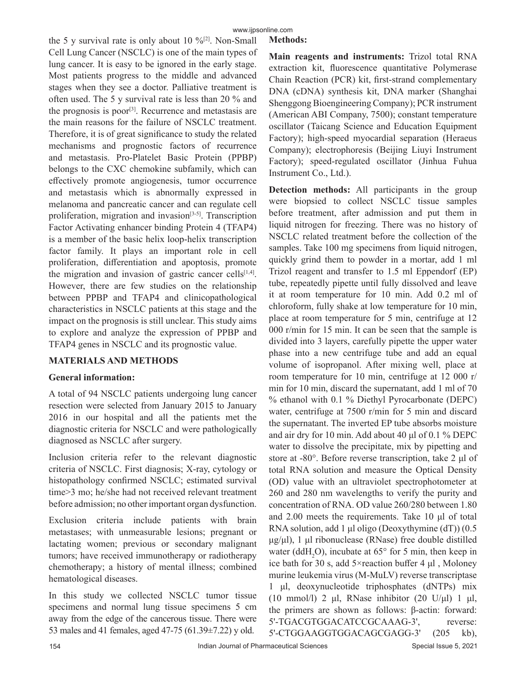the 5 y survival rate is only about 10  $\frac{6}{2}$ . Non-Small Cell Lung Cancer (NSCLC) is one of the main types of lung cancer. It is easy to be ignored in the early stage. Most patients progress to the middle and advanced stages when they see a doctor. Palliative treatment is often used. The 5 y survival rate is less than 20 % and the prognosis is poor<sup>[3]</sup>. Recurrence and metastasis are the main reasons for the failure of NSCLC treatment. Therefore, it is of great significance to study the related mechanisms and prognostic factors of recurrence and metastasis. Pro-Platelet Basic Protein (PPBP) belongs to the CXC chemokine subfamily, which can effectively promote angiogenesis, tumor occurrence and metastasis which is abnormally expressed in melanoma and pancreatic cancer and can regulate cell proliferation, migration and invasion<sup>[3-5]</sup>. Transcription Factor Activating enhancer binding Protein 4 (TFAP4) is a member of the basic helix loop-helix transcription factor family. It plays an important role in cell proliferation, differentiation and apoptosis, promote the migration and invasion of gastric cancer cells $[1,4]$ . However, there are few studies on the relationship between PPBP and TFAP4 and clinicopathological characteristics in NSCLC patients at this stage and the impact on the prognosis is still unclear. This study aims to explore and analyze the expression of PPBP and TFAP4 genes in NSCLC and its prognostic value.

# **MATERIALS AND METHODS**

# **General information:**

A total of 94 NSCLC patients undergoing lung cancer resection were selected from January 2015 to January 2016 in our hospital and all the patients met the diagnostic criteria for NSCLC and were pathologically diagnosed as NSCLC after surgery.

Inclusion criteria refer to the relevant diagnostic criteria of NSCLC. First diagnosis; X-ray, cytology or histopathology confirmed NSCLC; estimated survival time>3 mo; he/she had not received relevant treatment before admission; no other important organ dysfunction.

Exclusion criteria include patients with brain metastases; with unmeasurable lesions; pregnant or lactating women; previous or secondary malignant tumors; have received immunotherapy or radiotherapy chemotherapy; a history of mental illness; combined hematological diseases.

In this study we collected NSCLC tumor tissue specimens and normal lung tissue specimens 5 cm away from the edge of the cancerous tissue. There were 53 males and 41 females, aged 47-75 (61.39±7.22) y old.

**Main reagents and instruments:** Trizol total RNA extraction kit, fluorescence quantitative Polymerase Chain Reaction (PCR) kit, first-strand complementary DNA (cDNA) synthesis kit, DNA marker (Shanghai Shenggong Bioengineering Company); PCR instrument (American ABI Company, 7500); constant temperature oscillator (Taicang Science and Education Equipment Factory); high-speed myocardial separation (Heraeus Company); electrophoresis (Beijing Liuyi Instrument Factory); speed-regulated oscillator (Jinhua Fuhua Instrument Co., Ltd.).

**Detection methods:** All participants in the group were biopsied to collect NSCLC tissue samples before treatment, after admission and put them in liquid nitrogen for freezing. There was no history of NSCLC related treatment before the collection of the samples. Take 100 mg specimens from liquid nitrogen, quickly grind them to powder in a mortar, add 1 ml Trizol reagent and transfer to 1.5 ml Eppendorf (EP) tube, repeatedly pipette until fully dissolved and leave it at room temperature for 10 min. Add 0.2 ml of chloroform, fully shake at low temperature for 10 min, place at room temperature for 5 min, centrifuge at 12 000 r/min for 15 min. It can be seen that the sample is divided into 3 layers, carefully pipette the upper water phase into a new centrifuge tube and add an equal volume of isopropanol. After mixing well, place at room temperature for 10 min, centrifuge at 12 000 r/ min for 10 min, discard the supernatant, add 1 ml of 70 % ethanol with 0.1 % Diethyl Pyrocarbonate (DEPC) water, centrifuge at 7500 r/min for 5 min and discard the supernatant. The inverted EP tube absorbs moisture and air dry for 10 min. Add about 40 μl of 0.1 % DEPC water to dissolve the precipitate, mix by pipetting and store at -80°. Before reverse transcription, take 2 μl of total RNA solution and measure the Optical Density (OD) value with an ultraviolet spectrophotometer at 260 and 280 nm wavelengths to verify the purity and concentration of RNA. OD value 260/280 between 1.80 and 2.00 meets the requirements. Take 10 μl of total RNA solution, add 1 μl oligo (Deoxythymine (dT)) (0.5 μg/μl), 1 μl ribonuclease (RNase) free double distilled water (ddH<sub>2</sub>O), incubate at  $65^{\circ}$  for 5 min, then keep in ice bath for 30 s, add  $5 \times$ reaction buffer 4  $\mu$ l, Moloney murine leukemia virus (M-MuLV) reverse transcriptase 1 μl, deoxynucleotide triphosphates (dNTPs) mix (10 mmol/l) 2 μl, RNase inhibitor (20 U/μl) 1 μl, the primers are shown as follows: β-actin: forward: 5'-TGACGTGGACATCCGCAAAG-3', reverse: 5'-CTGGAAGGTGGACAGCGAGG-3' (205 kb),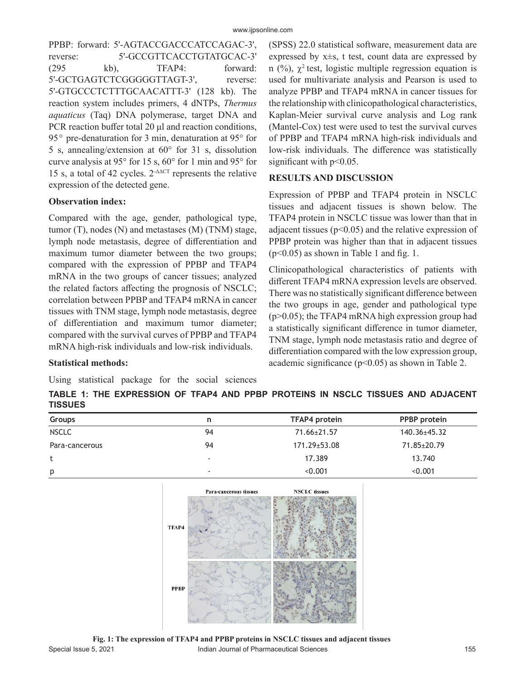PPBP: forward: 5'-AGTACCGACCCATCCAGAC-3', reverse: 5'-GCCGTTCACCTGTATGCAC-3' (295 kb), TFAP4: forward: 5'-GCTGAGTCTCGGGGGTTAGT-3', reverse: 5'-GTGCCCTCTTTGCAACATTT-3' (128 kb). The reaction system includes primers, 4 dNTPs, *Thermus aquaticus* (Taq) DNA polymerase, target DNA and PCR reaction buffer total 20 μl and reaction conditions, 95 $\degree$  pre-denaturation for 3 min, denaturation at 95 $\degree$  for 5 s, annealing/extension at 60° for 31 s, dissolution curve analysis at 95° for 15 s, 60° for 1 min and 95° for 15 s, a total of 42 cycles.  $2^{\text{AACT}}$  represents the relative expression of the detected gene.

## **Observation index:**

Compared with the age, gender, pathological type, tumor (T), nodes (N) and metastases (M) (TNM) stage, lymph node metastasis, degree of differentiation and maximum tumor diameter between the two groups; compared with the expression of PPBP and TFAP4 mRNA in the two groups of cancer tissues; analyzed the related factors affecting the prognosis of NSCLC; correlation between PPBP and TFAP4 mRNA in cancer tissues with TNM stage, lymph node metastasis, degree of differentiation and maximum tumor diameter; compared with the survival curves of PPBP and TFAP4 mRNA high-risk individuals and low-risk individuals.

## **Statistical methods:**

Using statistical package for the social sciences

(SPSS) 22.0 statistical software, measurement data are expressed by x±s, t test, count data are expressed by n (%),  $\chi^2$  test, logistic multiple regression equation is used for multivariate analysis and Pearson is used to analyze PPBP and TFAP4 mRNA in cancer tissues for the relationship with clinicopathological characteristics, Kaplan-Meier survival curve analysis and Log rank (Mantel-Cox) test were used to test the survival curves of PPBP and TFAP4 mRNA high-risk individuals and low-risk individuals. The difference was statistically significant with  $p<0.05$ .

## **RESULTS AND DISCUSSION**

Expression of PPBP and TFAP4 protein in NSCLC tissues and adjacent tissues is shown below. The TFAP4 protein in NSCLC tissue was lower than that in adjacent tissues ( $p<0.05$ ) and the relative expression of PPBP protein was higher than that in adjacent tissues  $(p<0.05)$  as shown in Table 1 and fig. 1.

Clinicopathological characteristics of patients with different TFAP4 mRNA expression levels are observed. There was no statistically significant difference between the two groups in age, gender and pathological type (p>0.05); the TFAP4 mRNA high expression group had a statistically significant difference in tumor diameter, TNM stage, lymph node metastasis ratio and degree of differentiation compared with the low expression group, academic significance ( $p$ <0.05) as shown in Table 2.

**TABLE 1: THE EXPRESSION OF TFAP4 AND PPBP PROTEINS IN NSCLC TISSUES AND ADJACENT TISSUES**

| <b>Groups</b>  | n                        | TFAP4 protein      | PPBP protein       |
|----------------|--------------------------|--------------------|--------------------|
| <b>NSCLC</b>   | 94                       | 71.66±21.57        | $140.36 \pm 45.32$ |
| Para-cancerous | 94                       | $171.29 \pm 53.08$ | 71.85±20.79        |
| t              | $\overline{\phantom{a}}$ | 17.389             | 13.740             |
| p              | -                        | < 0.001            | < 0.001            |



Special Issue 5, 2021 **Indian Journal of Pharmaceutical Sciences** 155 **Fig. 1: The expression of TFAP4 and PPBP proteins in NSCLC tissues and adjacent tissues**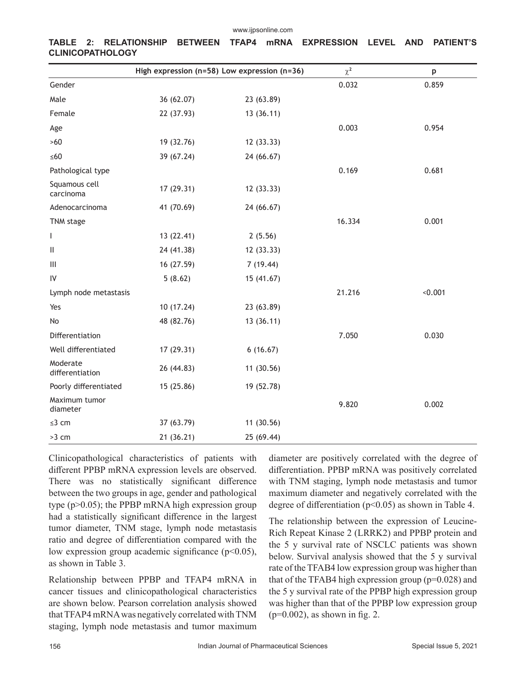|                             |            | High expression (n=58) Low expression (n=36) | $\chi^2$ | p       |
|-----------------------------|------------|----------------------------------------------|----------|---------|
| Gender                      |            |                                              | 0.032    | 0.859   |
| Male                        | 36 (62.07) | 23 (63.89)                                   |          |         |
| Female                      | 22 (37.93) | 13(36.11)                                    |          |         |
| Age                         |            |                                              | 0.003    | 0.954   |
| $>60$                       | 19 (32.76) | 12 (33.33)                                   |          |         |
| $\leq 60$                   | 39 (67.24) | 24 (66.67)                                   |          |         |
| Pathological type           |            |                                              | 0.169    | 0.681   |
| Squamous cell<br>carcinoma  | 17 (29.31) | 12 (33.33)                                   |          |         |
| Adenocarcinoma              | 41 (70.69) | 24 (66.67)                                   |          |         |
| TNM stage                   |            |                                              | 16.334   | 0.001   |
| L                           | 13 (22.41) | 2(5.56)                                      |          |         |
| Ш                           | 24 (41.38) | 12 (33.33)                                   |          |         |
| Ш                           | 16 (27.59) | 7(19.44)                                     |          |         |
| IV                          | 5(8.62)    | 15 (41.67)                                   |          |         |
| Lymph node metastasis       |            |                                              | 21.216   | < 0.001 |
| Yes                         | 10 (17.24) | 23 (63.89)                                   |          |         |
| No                          | 48 (82.76) | 13(36.11)                                    |          |         |
| Differentiation             |            |                                              | 7.050    | 0.030   |
| Well differentiated         | 17 (29.31) | 6(16.67)                                     |          |         |
| Moderate<br>differentiation | 26 (44.83) | 11 (30.56)                                   |          |         |
| Poorly differentiated       | 15 (25.86) | 19 (52.78)                                   |          |         |
| Maximum tumor<br>diameter   |            |                                              | 9.820    | 0.002   |
| $\leq$ 3 cm                 | 37 (63.79) | 11(30.56)                                    |          |         |
| $>3$ cm                     | 21(36.21)  | 25 (69.44)                                   |          |         |

**TABLE 2: RELATIONSHIP BETWEEN TFAP4 mRNA EXPRESSION LEVEL AND PATIENT'S CLINICOPATHOLOGY**

Clinicopathological characteristics of patients with different PPBP mRNA expression levels are observed. There was no statistically significant difference between the two groups in age, gender and pathological type (p>0.05); the PPBP mRNA high expression group had a statistically significant difference in the largest tumor diameter, TNM stage, lymph node metastasis ratio and degree of differentiation compared with the low expression group academic significance (p<0.05), as shown in Table 3.

Relationship between PPBP and TFAP4 mRNA in cancer tissues and clinicopathological characteristics are shown below. Pearson correlation analysis showed that TFAP4 mRNA was negatively correlated with TNM staging, lymph node metastasis and tumor maximum

diameter are positively correlated with the degree of differentiation. PPBP mRNA was positively correlated with TNM staging, lymph node metastasis and tumor maximum diameter and negatively correlated with the degree of differentiation ( $p$ <0.05) as shown in Table 4.

The relationship between the expression of Leucine-Rich Repeat Kinase 2 (LRRK2) and PPBP protein and the 5 y survival rate of NSCLC patients was shown below. Survival analysis showed that the 5 y survival rate of the TFAB4 low expression group was higher than that of the TFAB4 high expression group ( $p=0.028$ ) and the 5 y survival rate of the PPBP high expression group was higher than that of the PPBP low expression group  $(p=0.002)$ , as shown in fig. 2.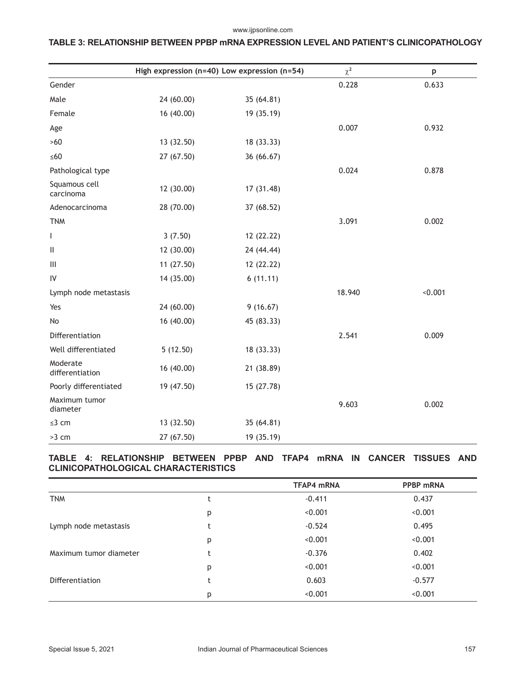#### www.ijpsonline.com

# **TABLE 3: RELATIONSHIP BETWEEN PPBP mRNA EXPRESSION LEVEL AND PATIENT'S CLINICOPATHOLOGY**

|                             | High expression ( $n=40$ ) Low expression ( $n=54$ ) |            | $\chi^2$ | p       |
|-----------------------------|------------------------------------------------------|------------|----------|---------|
| Gender                      |                                                      |            | 0.228    | 0.633   |
| Male                        | 24 (60.00)                                           | 35 (64.81) |          |         |
| Female                      | 16(40.00)                                            | 19 (35.19) |          |         |
| Age                         |                                                      |            | 0.007    | 0.932   |
| $>60$                       | 13 (32.50)                                           | 18 (33.33) |          |         |
| $\leq 60$                   | 27 (67.50)                                           | 36 (66.67) |          |         |
| Pathological type           |                                                      |            | 0.024    | 0.878   |
| Squamous cell<br>carcinoma  | 12 (30.00)                                           | 17 (31.48) |          |         |
| Adenocarcinoma              | 28 (70.00)                                           | 37 (68.52) |          |         |
| <b>TNM</b>                  |                                                      |            | 3.091    | 0.002   |
| $\mathsf{I}$                | 3(7.50)                                              | 12 (22.22) |          |         |
| Ш                           | 12 (30.00)                                           | 24 (44.44) |          |         |
| Ш                           | 11(27.50)                                            | 12 (22.22) |          |         |
| $\mathsf{IV}$               | 14 (35.00)                                           | 6(11.11)   |          |         |
| Lymph node metastasis       |                                                      |            | 18.940   | < 0.001 |
| Yes                         | 24 (60.00)                                           | 9(16.67)   |          |         |
| No                          | 16 (40.00)                                           | 45 (83.33) |          |         |
| Differentiation             |                                                      |            | 2.541    | 0.009   |
| Well differentiated         | 5(12.50)                                             | 18 (33.33) |          |         |
| Moderate<br>differentiation | 16 (40.00)                                           | 21 (38.89) |          |         |
| Poorly differentiated       | 19 (47.50)                                           | 15 (27.78) |          |         |
| Maximum tumor<br>diameter   |                                                      |            | 9.603    | 0.002   |
| $\leq$ 3 cm                 | 13 (32.50)                                           | 35 (64.81) |          |         |
| $>3$ cm                     | 27 (67.50)                                           | 19 (35.19) |          |         |

## **TABLE 4: RELATIONSHIP BETWEEN PPBP AND TFAP4 mRNA IN CANCER TISSUES AND CLINICOPATHOLOGICAL CHARACTERISTICS**

|                        |           | <b>TFAP4 mRNA</b> | <b>PPBP mRNA</b> |
|------------------------|-----------|-------------------|------------------|
| <b>TNM</b>             | ۰         | $-0.411$          | 0.437            |
|                        | p         | < 0.001           | < 0.001          |
| Lymph node metastasis  | t         | $-0.524$          | 0.495            |
|                        | p         | < 0.001           | < 0.001          |
| Maximum tumor diameter | $\ddot{}$ | $-0.376$          | 0.402            |
|                        | p         | < 0.001           | < 0.001          |
| Differentiation        | t         | 0.603             | $-0.577$         |
|                        | p         | < 0.001           | < 0.001          |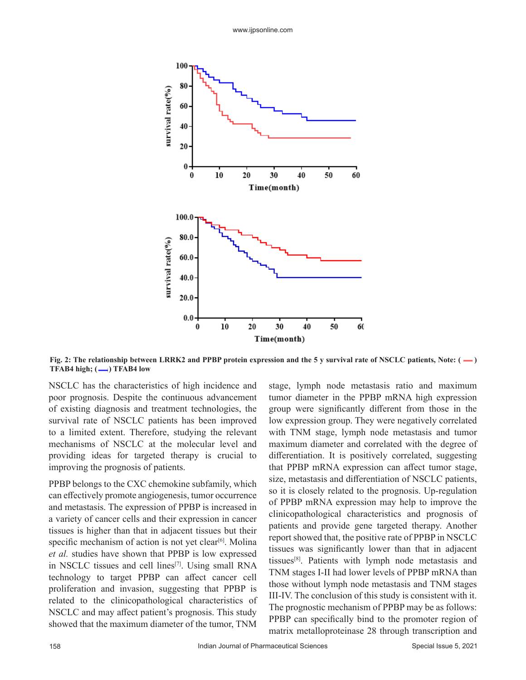

**Fig. 2: The relationship between LRRK2 and PPBP protein expression and the 5 y survival rate of NSCLC patients, Note: (-) TFAB4 high; (-) TFAB4 low** 

NSCLC has the characteristics of high incidence and poor prognosis. Despite the continuous advancement of existing diagnosis and treatment technologies, the survival rate of NSCLC patients has been improved to a limited extent. Therefore, studying the relevant mechanisms of NSCLC at the molecular level and providing ideas for targeted therapy is crucial to improving the prognosis of patients.

PPBP belongs to the CXC chemokine subfamily, which can effectively promote angiogenesis, tumor occurrence and metastasis. The expression of PPBP is increased in a variety of cancer cells and their expression in cancer tissues is higher than that in adjacent tissues but their specific mechanism of action is not yet clear<sup>[6]</sup>. Molina *et al.* studies have shown that PPBP is low expressed in NSCLC tissues and cell lines[7]. Using small RNA technology to target PPBP can affect cancer cell proliferation and invasion, suggesting that PPBP is related to the clinicopathological characteristics of NSCLC and may affect patient's prognosis. This study showed that the maximum diameter of the tumor, TNM

stage, lymph node metastasis ratio and maximum tumor diameter in the PPBP mRNA high expression group were significantly different from those in the low expression group. They were negatively correlated with TNM stage, lymph node metastasis and tumor maximum diameter and correlated with the degree of differentiation. It is positively correlated, suggesting that PPBP mRNA expression can affect tumor stage, size, metastasis and differentiation of NSCLC patients, so it is closely related to the prognosis. Up-regulation of PPBP mRNA expression may help to improve the clinicopathological characteristics and prognosis of patients and provide gene targeted therapy. Another report showed that, the positive rate of PPBP in NSCLC tissues was significantly lower than that in adjacent tissues[8]. Patients with lymph node metastasis and TNM stages I-II had lower levels of PPBP mRNA than those without lymph node metastasis and TNM stages III-IV. The conclusion of this study is consistent with it. The prognostic mechanism of PPBP may be as follows: PPBP can specifically bind to the promoter region of matrix metalloproteinase 28 through transcription and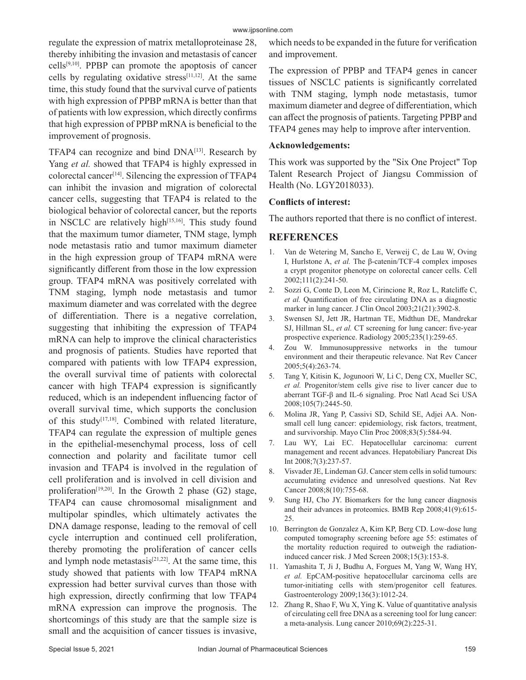#### www.ijpsonline.com

regulate the expression of matrix metalloproteinase 28, thereby inhibiting the invasion and metastasis of cancer cells[9,10]. PPBP can promote the apoptosis of cancer cells by regulating oxidative stress<sup>[11,12]</sup>. At the same time, this study found that the survival curve of patients with high expression of PPBP mRNA is better than that of patients with low expression, which directly confirms that high expression of PPBP mRNA is beneficial to the improvement of prognosis.

TFAP4 can recognize and bind DNA[13]. Research by Yang *et al.* showed that TFAP4 is highly expressed in colorectal cancer<sup>[14]</sup>. Silencing the expression of TFAP4 can inhibit the invasion and migration of colorectal cancer cells, suggesting that TFAP4 is related to the biological behavior of colorectal cancer, but the reports in NSCLC are relatively high<sup>[15,16]</sup>. This study found that the maximum tumor diameter, TNM stage, lymph node metastasis ratio and tumor maximum diameter in the high expression group of TFAP4 mRNA were significantly different from those in the low expression group. TFAP4 mRNA was positively correlated with TNM staging, lymph node metastasis and tumor maximum diameter and was correlated with the degree of differentiation. There is a negative correlation, suggesting that inhibiting the expression of TFAP4 mRNA can help to improve the clinical characteristics and prognosis of patients. Studies have reported that compared with patients with low TFAP4 expression, the overall survival time of patients with colorectal cancer with high TFAP4 expression is significantly reduced, which is an independent influencing factor of overall survival time, which supports the conclusion of this study[17,18]. Combined with related literature, TFAP4 can regulate the expression of multiple genes in the epithelial-mesenchymal process, loss of cell connection and polarity and facilitate tumor cell invasion and TFAP4 is involved in the regulation of cell proliferation and is involved in cell division and proliferation<sup>[19,20]</sup>. In the Growth 2 phase (G2) stage, TFAP4 can cause chromosomal misalignment and multipolar spindles, which ultimately activates the DNA damage response, leading to the removal of cell cycle interruption and continued cell proliferation, thereby promoting the proliferation of cancer cells and lymph node metastasis<sup>[21,22]</sup>. At the same time, this study showed that patients with low TFAP4 mRNA expression had better survival curves than those with high expression, directly confirming that low TFAP4 mRNA expression can improve the prognosis. The shortcomings of this study are that the sample size is small and the acquisition of cancer tissues is invasive,

which needs to be expanded in the future for verification and improvement.

The expression of PPBP and TFAP4 genes in cancer tissues of NSCLC patients is significantly correlated with TNM staging, lymph node metastasis, tumor maximum diameter and degree of differentiation, which can affect the prognosis of patients. Targeting PPBP and TFAP4 genes may help to improve after intervention.

## **Acknowledgements:**

This work was supported by the "Six One Project" Top Talent Research Project of Jiangsu Commission of Health (No. LGY2018033).

## **Conflicts of interest:**

The authors reported that there is no conflict of interest.

## **REFERENCES**

- 1. Van de Wetering M, Sancho E, Verweij C, de Lau W, Oving I, Hurlstone A, *et al.* The β-catenin/TCF-4 complex imposes a crypt progenitor phenotype on colorectal cancer cells. Cell 2002;111(2):241-50.
- 2. Sozzi G, Conte D, Leon M, Cirincione R, Roz L, Ratcliffe C, *et al.* Quantification of free circulating DNA as a diagnostic marker in lung cancer. J Clin Oncol 2003;21(21):3902-8.
- 3. Swensen SJ, Jett JR, Hartman TE, Midthun DE, Mandrekar SJ, Hillman SL, *et al.* CT screening for lung cancer: five-year prospective experience. Radiology 2005;235(1):259-65.
- 4. Zou W. Immunosuppressive networks in the tumour environment and their therapeutic relevance. Nat Rev Cancer 2005;5(4):263-74.
- 5. Tang Y, Kitisin K, Jogunoori W, Li C, Deng CX, Mueller SC, *et al.* Progenitor/stem cells give rise to liver cancer due to aberrant TGF-β and IL-6 signaling. Proc Natl Acad Sci USA 2008;105(7):2445-50.
- 6. Molina JR, Yang P, Cassivi SD, Schild SE, Adjei AA. Nonsmall cell lung cancer: epidemiology, risk factors, treatment, and survivorship. Mayo Clin Proc 2008;83(5):584-94.
- 7. Lau WY, Lai EC. Hepatocellular carcinoma: current management and recent advances. Hepatobiliary Pancreat Dis Int 2008;7(3):237-57.
- 8. Visvader JE, Lindeman GJ. Cancer stem cells in solid tumours: accumulating evidence and unresolved questions. Nat Rev Cancer 2008;8(10):755-68.
- 9. Sung HJ, Cho JY. Biomarkers for the lung cancer diagnosis and their advances in proteomics. BMB Rep 2008;41(9):615- 25.
- 10. Berrington de Gonzalez A, Kim KP, Berg CD. Low-dose lung computed tomography screening before age 55: estimates of the mortality reduction required to outweigh the radiationinduced cancer risk. J Med Screen 2008;15(3):153-8.
- 11. Yamashita T, Ji J, Budhu A, Forgues M, Yang W, Wang HY, *et al.* EpCAM-positive hepatocellular carcinoma cells are tumor-initiating cells with stem/progenitor cell features. Gastroenterology 2009;136(3):1012-24.
- 12. Zhang R, Shao F, Wu X, Ying K. Value of quantitative analysis of circulating cell free DNA as a screening tool for lung cancer: a meta-analysis. Lung cancer 2010;69(2):225-31.